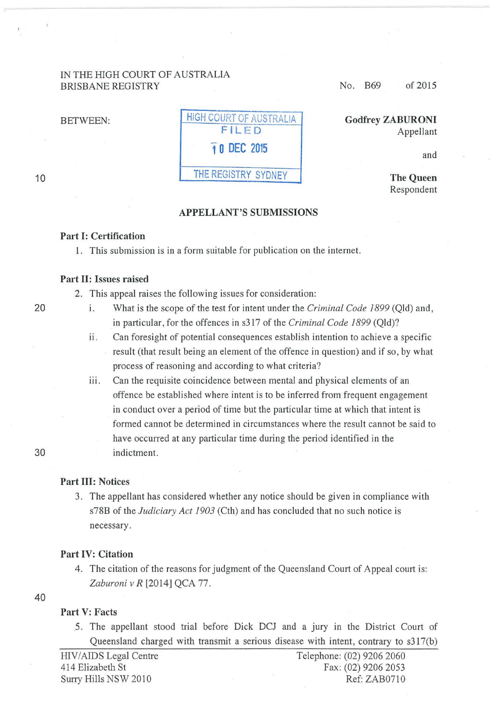### IN THE HIGH COURT OF AUSTRALIA BRISBANE REGISTRY

BETWEEN:

| <b>HIGH COURT OF AUSTRALIA</b> |
|--------------------------------|
| FILED                          |
| 10 DEC 2015                    |
| THE REGISTRY SYDNEY            |

No. B69 of 2015

Godfrey ZABURONI Appellant

and

The Queen Respondent

### APPELLANT'S SUBMISSIONS

### Part I: Certification

1. This submission is in a form suitable for publication on the internet.

### Part II: Issues raised

2. This appeal raises the following issues for consideration:

- 20 1. What is the scope of the test for intent under the *Criminal Code 1899* (Qld) and, in particular, for the offences in s3 17 of the *Criminal Code 1899* (Qld)?
	- ii. Can foresight of potential consequences establish intention to achieve a specific result (that result being an element of the offence in question) and if so, by what process of reasoning and according to what criteria?
	- iii. Can the requisite coincidence between mental and physical elements of an offence be established where intent is to be inferred from frequent engagement in conduct over a period of time but the particular time at which that intent is formed cannot be determined in circumstances where the result cannot be said to have occurred at any particular time during the period identified in the indictment.

### Part III: Notices

3. The appellant has considered whether any notice should be given in compliance with s78B of the *Judiciary Act 1903* (Cth) and has concluded that no such notice is necessary.

#### Part IV: Citation

4. The citation of the reasons for judgment of the Queensland Court of Appeal court is: Zaburoni v R [2014] QCA 77.

### 40

# Part V: Facts

5. The appellant stood trial before Dick DCJ and a jury in the District Court of Queensland charged with transmit a serious disease with intent, contrary to s317(b)

HIV/AIDS Legal Centre Telephone: (02) 9206 2060 414 Elizabeth St Fax: (02) 9206 2053 Surry Hills NSW 2010 Ref: ZAB0710

10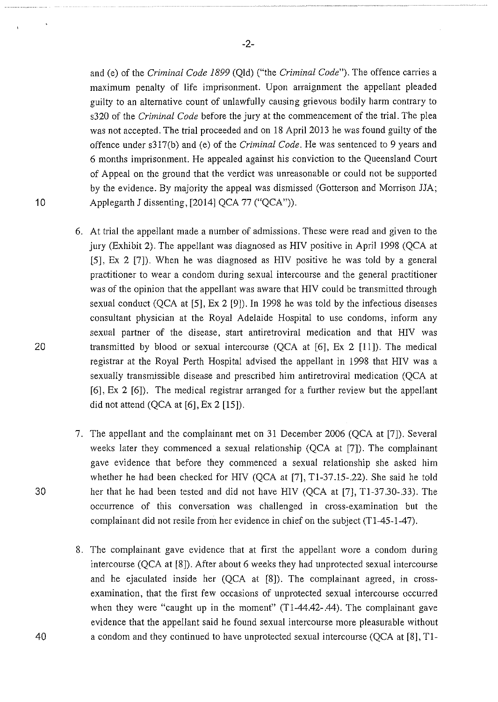-2-

and (e) of the *Criminal Code 1899* (Qld) ("the *Criminal Code").* The offence carries a maximum penalty of life imprisonment. Upon arraignment the appellant pleaded guilty to an alternative count of unlawfully causing grievous bodily harm contrary to s320 of the *Criminal Code* before the jury at the commencement of the trial. The plea was not accepted. The trial proceeded and on 18 April 2013 he was found guilty of the offence under s317(b) and (e) of the *Criminal Code.* He was sentenced to 9 years and 6 months imprisonment. He appealed against his conviction to the Queensland Court of Appeal on the ground that the verdict was unreasonable or could not be supported by the evidence. By majority the appeal was dismissed (Gotterson and Morrison JJA; Applegarth J dissenting, [2014] QCA 77 ("QCA")).

- 6. At trial the appellant made a number of admissions. These were read and given to the jury (Exhibit 2). The appellant was diagnosed as HIV positive in April 1998 (QCA at [5], Ex 2 [7]). When he was diagnosed as HIV positive he was told by a general practitioner to wear a condom during sexual intercourse and the general practitioner was of the opinion that the appellant was aware that HIV could be transmitted through sexual conduct (QCA at [5], Ex 2 [9]). In 1998 he was told by the infectious diseases consultant physician at the Royal Adelaide Hospital to use condoms, inform any sexual partner of the disease, start antiretroviral medication and that HIV was transmitted by blood or sexual intercourse (QCA at [6], Ex 2 [11]). The medical registrar at the Royal Perth Hospital advised the appellant in 1998 that HIV was a sexually transmissible disease and prescribed him antiretroviral medication (QCA at [6], Ex 2 [6]). The medical registrar arranged for a further review but the appellant did not attend  $(QCA \t{at} [6], Ex 2 [15]).$
- 7. The appellant and the complainant met on 31 December 2006 (QCA at [7 J). Several weeks later they commenced a sexual relationship (QCA at [7]). The complainant gave evidence that before they commenced a sexual relationship she asked him whether he had been checked for HIV (QCA at [7], Tl-37.15-.22). She said he told her that he had been tested and did not have HIV (QCA at [7], Tl-37.30-.33). The occurrence of this conversation was challenged in cross-examination but the complainant did not resile from her evidence in chief on the subject (T1-45-1-47).
- 8. The complainant gave evidence that at first the appellant wore a condom during intercourse (QCA at [8]). After about 6 weeks they had unprotected sexual intercourse and he ejaculated inside her (QCA at [8]). The complainant agreed, in crossexamination, that the first few occasions of unprotected sexual intercourse occurred when they were "caught up in the moment" (T1-44.42-.44). The complainant gave evidence that the appellant said he found sexual intercourse more pleasurable without a condom and they continued to have unprotected sexual intercourse (QCA at [8], T1-

30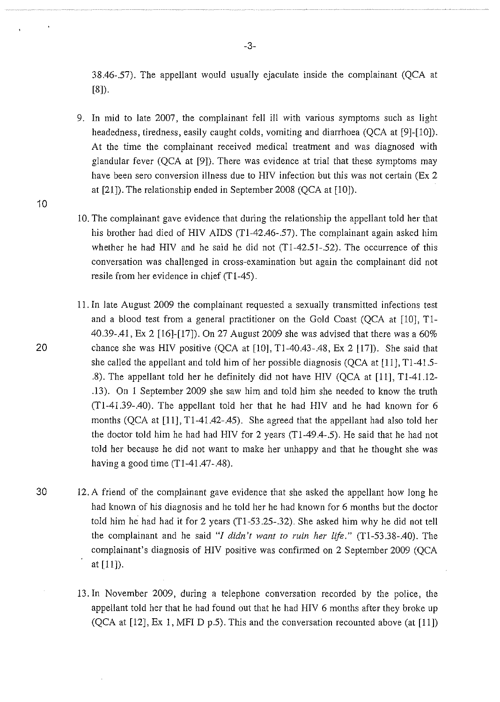38.46-.57). The appellant would usually ejaculate inside the complainant (QCA at [8]).

- 9. In mid to late 2007, the complainant fell ill with various symptoms such as light headedness, tiredness, easily caught colds, vomiting and diarrhoea (QCA at [9]-[10]). At the time the complainant received medical treatment and was diagnosed with glandular fever (QCA at [9]). There was evidence at trial that these symptoms may have been sero conversion illness due to HIV infection but this was not certain (Ex 2 at [21]). The relationship ended in September 2008 (QCA at [10]).
- 10. The complainant gave evidence that during the relationship the appellant told her that his brother had died of HIV AIDS (Tl-42.46-.57). The complainant again asked him whether he had HIV and he said he did not  $(T1-42.51-52)$ . The occurrence of this conversation was challenged in cross-examination but again the complainant did not resile from her evidence in chief (T1-45).
- 11. In late August 2009 the complainant requested a sexually transmitted infections test and a blood test from a general practitioner on the Gold Coast (QCA at [10], Tl-40.39-.41, Ex 2 [16]-[17]). On 27 August 2009 she was advised that there was a 60% 20 chance she was HIV positive (QCA at [10], Tl-40.43-.48, Ex 2 [17]). She said that she called the appellant and told him of her possible diagnosis (QCA at [11], Tl-41.5- .8). The appellant told her he definitely did not have HIV (QCA at [11], Tl-41.12- .13). On 1 September 2009 she saw him and told him she needed to know the truth (Tl-41.39-.40). The appellant told her that he had HIV and he had known for 6 months (QCA at [11], T1-41.42-.45). She agreed that the appellant had also told her the doctor told him he had had HIV for 2 years (Tl-49.4-.5). He said that he had not told her because he did not want to make her unhappy and that he thought she was having a good time  $(T1-41.47-0.48)$ .
- 30 12. A friend of the complainant gave evidence that she asked the appellant how long he had known of his diagnosis and he told her he had known for 6 months but the doctor told him he had had it for 2 years (Tl-53.25-.32). She asked him why he did not tell the complainant and he said "*I didn't want to ruin her life.*" (T1-53.38-.40). The complainant's diagnosis of HIV positive was confirmed on 2 September 2009 (QCA at [11]).
	- 13. In November 2009, during a telephone conversation recorded by the police, the appellant told her that he had found out that he had HIV 6 months after they broke up (QCA at [12], Ex 1, MFI D p.S). This and the conversation recounted above (at [11])

-3-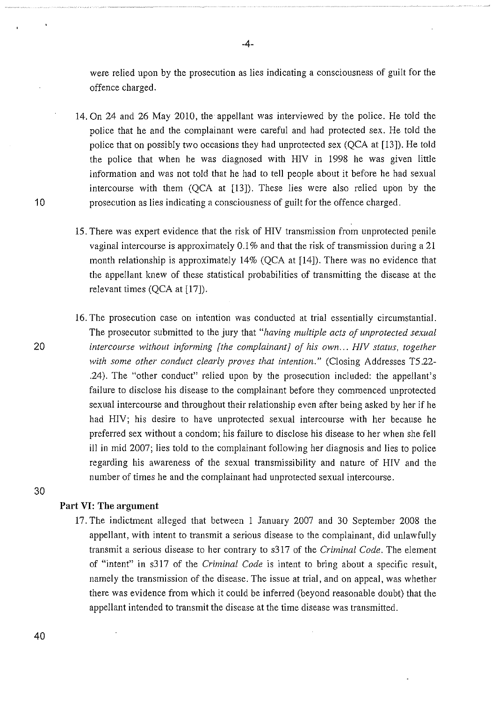were relied upon by the prosecution as lies indicating a consciousness of guilt for the offence charged.

14. On 24 and 26 May 2010, the appellant was interviewed by the police. He told the police that he and the complainant were careful and had protected sex. He told the police that on possibly two occasions they had unprotected sex (QCA at [13]). He told the police that when he was diagnosed with HIV in 1998 he was given little information and was not told that he had to tell people about it before he had sexual intercourse with them (QCA at [13]). These lies were also relied upon by the prosecution as lies indicating a consciousness of guilt for the offence charged.

15. There was expert evidence that the risk of HIV transmission from unprotected penile vaginal intercourse is approximately 0.1% and that the risk of transmission during a 21 month relationship is approximately 14% (QCA at [14]). There was no evidence that the appellant knew of these statistical probabilities of transmitting the disease at the relevant times (QCA at [17]).

16. The prosecution case on intention was conducted at trial essentially circumstantial. The prosecutor submitted to the jury that *"having multiple acts of unprotected sexual intercourse without informing [the complainant] of his own ... HIV status, together with some other conduct clearly proves that intention."* (Closing Addresses T5 .22- .24). The "other conduct" relied upon by the prosecution included: the appellant's failure to disclose his disease to the complainant before they commenced unprotected sexual intercourse and throughout their relationship even after being asked by her if he had HIV; his desire to have unprotected sexual intercourse with her because he preferred sex without a condom; his failure to disclose his disease to her when she fell ill in mid 2007; lies told to the complainant following her diagnosis and lies to police regarding his awareness of the sexual transmissibility and nature of HIV and the number of times he and the complainant had unprotected sexual intercourse.

## **Part VI: The argument**

17. The indictment alleged that between 1 January 2007 and 30 September 2008 the appellant, with intent to transmit a serious disease to the complainant, did unlawfully transmit a serious disease to her contrary to s317 of the *Criminal Code.* The element of "intent" in s317 of the *Criminal Code* is intent to bring about a specific result, namely the transmission of the disease. The issue at trial, and on appeal, was whether there was evidence from which it could be inferred (beyond reasonable doubt) that the appellant intended to transmit the disease at the time disease was transmitted.

10

20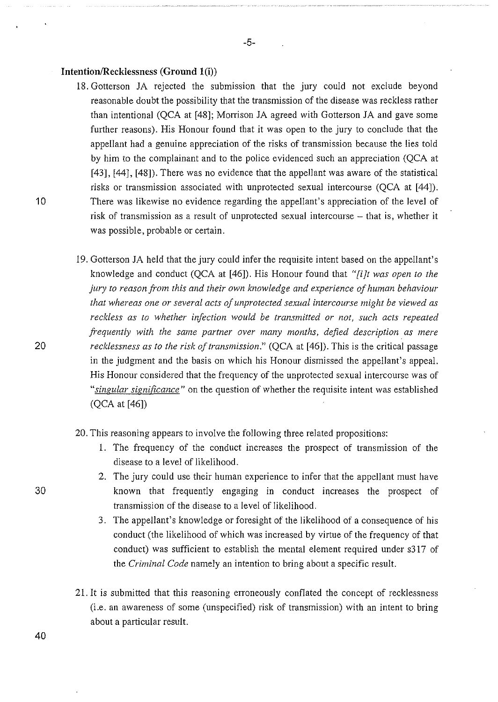### **Intention/Recklessness (Ground l(i))**

- 18. Gotterson JA rejected the submission that the jury could not exclude beyond reasonable doubt the possibility that the transmission of the disease was reckless rather than intentional (QCA at [48]; Morrison JA agreed with Gotterson JA and gave some further reasons). His Honour found that it was open to the jury to conclude that the appellant had a genuine appreciation of the risks of transmission because the lies told by him to the complainant and to the police evidenced such an appreciation (QCA at [43], [44], [48]). There was no evidence that the appellant was aware of the statistical risks or transmission associated with unprotected sexual intercourse (QCA at [44]). There was likewise no evidence regarding the appellant's appreciation of the level of risk of transmission as a result of unprotected sexual intercourse – that is, whether it was possible, probable or certain.
- 19. Gotterson JA held that the jury could infer the requisite intent based on the appellant's knowledge and conduct (QCA at [46]). His Honour found that *"[i]t was open to the jury to reason from this and their own knowledge and experience of human behaviour that whereas one or several acts of unprotected sexual intercourse might be viewed as reckless as to whether infection would be transmitted or not, such acts repeated frequently with the same partner over many months, defied description. as mere recklessness as to the risk of transmission.*" (QCA at [46]). This is the critical passage in the judgment and the basis on which his Honour dismissed the appellant's appeal. His Honour considered that the frequency of the unprotected sexual intercourse was of *"singular significance"* on the question of whether the requisite intent was established (QCA at [46])
- 20. This reasoning appears to involve the following three related propositions:
	- 1. The frequency of the conduct increases the prospect of transmission of the disease to a level of likelihood.
	- 2. The jury could use their human experience to infer that the appellant must have known that frequently engaging in conduct increases the prospect of transmission of the disease to a level of likelihood.
	- 3. The appellant's knowledge or foresight of the likelihood of a consequence of his conduct (the likelihood of which was increased by virtue of the frequency of that conduct) was sufficient to establish the mental element required under s317 of the *Criminal Code* namely an intention to bring about a specific result.
- 21. It is submitted that this reasoning erroneously conflated the concept of recklessness (i.e. an awareness of some (unspecified) risk of transmission) with an intent to bring about a particular result.

20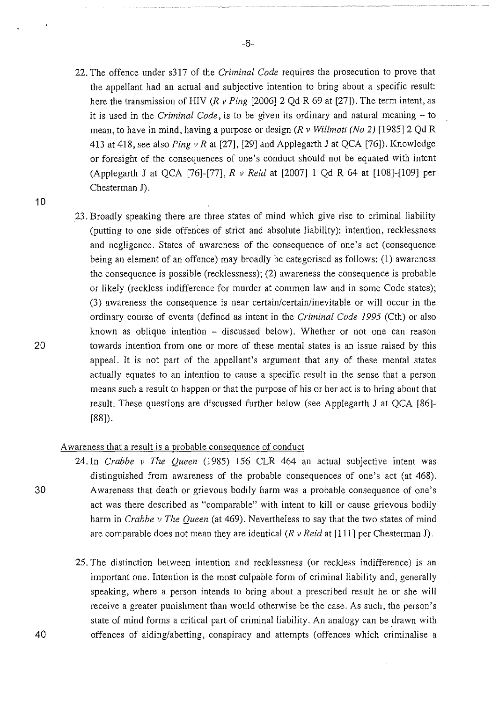22. The offence under s317 of the *Criminal Code* requires the prosecution to prove that the appellant had an actual and subjective intention to bring about a specific result: here the transmission of HIV *(R v Ping* [2006] 2 Qd R 69 at [27]). The term intent, as it is used in the *Criminal Code,* is to be given its ordinary and natural meaning - to mean, to have in mind, having a purpose or design *(R v Willmott (No 2)* [1985]2 Qd R 413 at 418, see also *Ping v* Rat [27], [29] and Applegarth *1* at QCA [76]). Knowledge or foresight of the consequences of one's conduct should not be equated with intent (Applegarth J at QCA [76]-[77], *R v Reid* at [2007] 1 Qd R 64 at [108]-[109] per Chesterman J).

10

23. Broadly speaking there are three states of mind which give rise to criminal liability (putting to one side offences of strict and absolute liability): intention, recklessness and negligence. States of awareness of the consequence of one's act (consequence being an element of an offence) may broadly be categorised as follows: (1) awareness the consequence is possible (recklessness); (2) awareness the consequence is probable or likely (reckless indifference for murder at common law and in some Code states); (3) awareness the consequence is near certain/certain/inevitable or will occur in the ordinary course of events (defined as intent in the *Criminal Code 1995* (Cth) or also known as oblique intention - discussed below). Whether or not one can reason towards intention from one or more of these mental states is an issue raised by this appeal. It is not part of the appellant's argument that any of these mental states actually equates to an intention to cause a specific result in the sense that a person means such a result to happen or that the purpose of his or her act is to bring about that result. These questions are discussed further below (see Applegarth J at QCA [86]- [88]).

### Awareness that a result is a probable consequence of conduct

- 24. In *Crabbe v The Queen* (1985) 156 CLR 464 an actual subjective intent was distinguished from awareness of the probable consequences of one's act (at 468). Awareness that death or grievous bodily harm was a probable consequence of one's act was there described as "comparable" with intent to kill or cause grievous bodily harm in *Crabbe v The Queen* (at 469). Nevertheless to say that the two states of mind are comparable does not mean they are identical *(R v Reid* at [111] per Chesterman J).
	- 25. The distinction between intention and recklessness (or reckless indifference) is an important one. Intention is the most culpable form of criminal liability and, generally speaking, where a person intends to bring about a prescribed result he or she will receive a greater punishment than would otherwise be the case. As such, the person's state of mind forms a critical part of criminal liability. An analogy can be drawn with offences of aiding/abetting, conspiracy and attempts (offences which criminalise a

20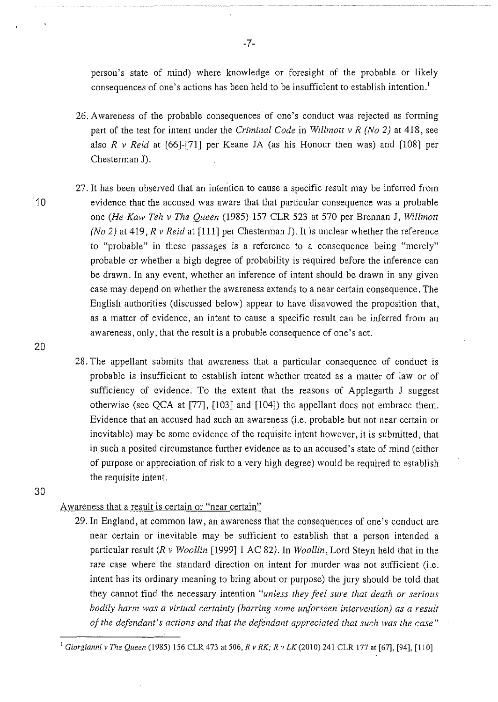person's state of mind) where knowledge or foresight of the probable or likely consequences of one's actions has been held to be insufficient to establish intention.<sup>1</sup>

- 26. Awareness of the probable consequences of one's conduct was rejected as forming part of the test for intent under the *Criminal Code* in *Willmott v R (No 2)* at 418, see also  $R$  v Reid at [66]-[71] per Keane JA (as his Honour then was) and [108] per Chesterman J).
- 27. It has been observed that an intention to cause a specific result may be inferred from evidence that the accused was aware that that particular consequence was a probable one *(He Kaw Teh v The Queen* (1985) 157 CLR 523 at 570 per Brennan J, *Willmott (No 2)* at 419, *R v Reid* at [111] per Chesterman J). It is unclear whether the reference to "probable" in these passages is a reference to a consequence being "merely" probable or whether a high degree of probability is required before the inference can be drawn. In any event, whether an inference of intent should be drawn in any given case may depend on whether the awareness extends to a near certain consequence. The English authorities (discussed below) appear to have disavowed the proposition that, as a matter of evidence, an intent to cause a specific result can be inferred from an awareness, only, that the result is a probable consequence of one's act.
- 28. The appellant submits that awareness that a particular consequence of conduct is probable is insufficient to establish intent whether treated as a matter of law or of sufficiency of evidence. To the extent that the reasons of Applegarth J suggest otherwise (see QCA at [77], [103] and [104]) the appellant does not embrace them. Evidence that an accused had such an awareness (i.e. probable but not near certain or inevitable) may be some evidence of the requisite intent however, it is submitted, that in such a posited circumstance further evidence as to an accused's state of mind (either of purpose or appreciation of risk to a very high degree) would be required to establish the requisite intent.
- 30

10

20

## Awareness that a result is certain or "near certain"

29. In England, at common law, an awareness that the consequences of one's conduct are near certain or inevitable may be sufficient to establish that a person intended a particular result *(R v Woollin* [1999]1 AC *82).* In *Woollin,* Lord Steyn held that in the rare case where the standard direction on intent for murder was not sufficient (i.e. intent has its ordinary meaning to bring about or purpose) the jury should be told that they cannot find the necessary intention *"unless they feel sure that death or serious bodily harm was a virtual certainty (barring some unforseen intervention) as a result of the defendant's actions and that the defendant appreciated that such was the case"* 

<sup>&</sup>lt;sup>1</sup> Giorgianni v The Queen (1985) 156 CLR 473 at 506, *R v RK; R v LK* (2010) 241 CLR 177 at [67], [94], [110].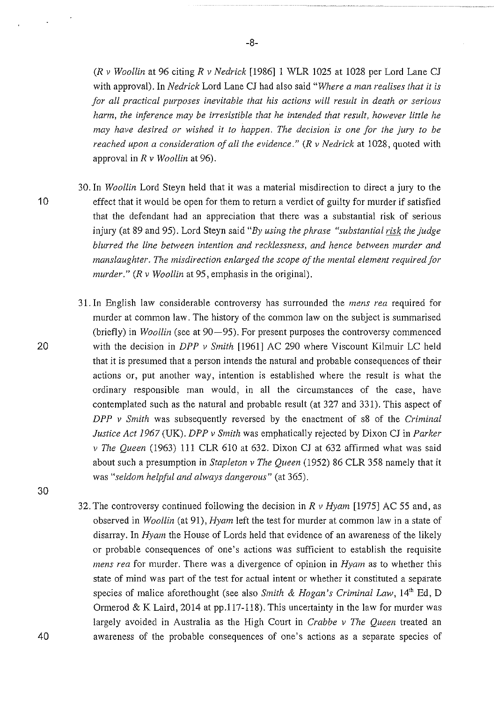(R *v Woollin* at 96 citing *R v Nedrick* [1986]1 WLR 1025 at 1028 per Lord Lane CJ with approval). In *Nedrick* Lord Lane CJ had also said *"Where a man realises that it is for all practical purposes inevitable that his actions will result in death or serious harm, the inference may be irresistible that he intended that result, however little he may have desired or wished it to happen. The decision is one for the jury to be reached upon a consideration of all the evidence."* (R *v Nedrick* at 1028, quoted with approval in *R v Woollin* at 96).

- 30. In *Woollin* Lord Steyn held that it was a material misdirection to direct a jury to the effect that it would be open for them to return a verdict of guilty for murder if satisfied that the defendant had an appreciation that there was a substantial risk of serious injury (at 89 and 95). Lord Steyn said *"By using the phrase "substantial risk the judge blurred the line between intention and recklessness, and hence between murder and manslaughter. The misdirection enlarged the scope of the mental element required for murder."* (R *v Woollin* at 95, emphasis in the original).
- 31. In English law considerable controversy has surrounded the *mens rea* required for murder at common law. The history of the common law on the subject is summarised (briefly) in *Woollin* (see at 90–95). For present purposes the controversy commenced with the decision in *DPP v Smith* [1961] AC 290 where Viscount Kilmuir LC held that it is presumed that a person intends the natural and probable consequences of their actions or, put another way, intention is established where the result is what the ordinary responsible man would, in all the circumstances of the case, have contemplated such as the natural and probable result (at 327 and 331). This aspect of *DPP v Smith* was subsequently reversed by the enactment of s8 of the *Criminal Justice Act 1967* (UK). *DPP v Smith* was emphatically rejected by Dixon CJ in *Parker v The Queen* (1963) Ill CLR 610 at 632. Dixon CJ at 632 affirmed what was said about such a presumption in *Stapleton v The Queen* (1952) 86 CLR 358 namely that it was *"seldom helpful and always dangerous"* (at 365).
- 32. The controversy continued following the decision in *R v Hymn* [1975] AC 55 and, as observed in *Woollin* (at 91), *Hyam* left the test for murder at common law in a state of disarray. In *Hymn* the House of Lords held that evidence of an awareness of the likely or probable consequences of one's actions was sufficient to establish the requisite *mens rea* for murder. There was a divergence of opinion in *Hymn* as to whether this state of mind was part of the test for actual intent or whether it constituted a separate species of malice aforethought (see also *Smith & Hogan's Criminal Law*, 14<sup>th</sup> Ed, D Ormerod  $&$  K Laird, 2014 at pp.117-118). This uncertainty in the law for murder was largely avoided in Australia as the High Court in *Crabbe v The Queen* treated an awareness of the probable consequences of one's actions as a separate species of

20

10

30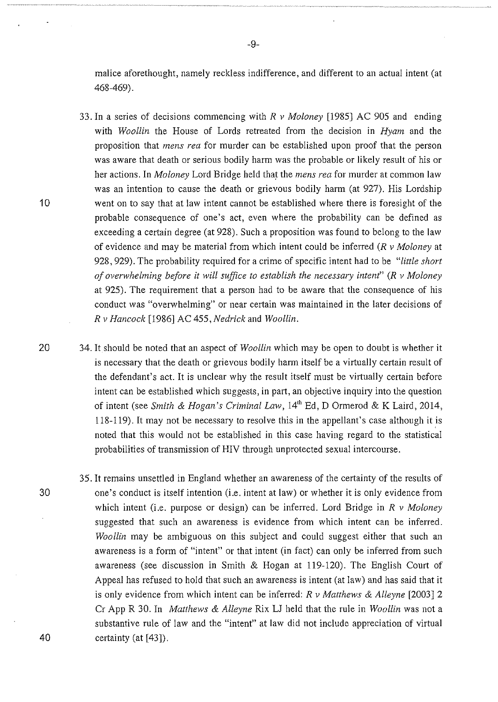malice aforethought, namely reckless indifference, and different to an actual intent (at 468-469).

33. In a series of decisions commencing with *R v Moloney* [1985] AC 905 and ending with *Woollin* the House of Lords retreated from the decision in *Hymn* and the proposition that *mens rea* for murder can be established upon proof that the person was aware that death or serious bodily harm was the probable or likely result of his or her actions. In *Moloney* Lord Bridge held that the *mens rea* for murder at common law was an intention to cause the death or grievous bodily harm (at 927). His Lordship went on to say that at law intent cannot be established where there is foresight of the probable consequence of one's act, even where the probability can be defined as exceeding a certain degree (at 928). Such a proposition was found to belong to the law of evidence and may be material from which intent could be inferred *(R v Moloney* at 928, 929). The probability required for a crime of specific intent had to be *"little short of overwhelming before it will suffice to establish the necessary intent" (R v Moloney*  at 925). The requirement that a person had to be aware that the consequence of his conduct was "overwhelming" or near certain was maintained in the later decisions of *R v Hancock* [1986] AC 455, *Nedrick* and *Woollin.* 

20 34. It should be noted that an aspect of *Woollin* which may be open to doubt is whether it is necessary that the death or grievous bodily harm itself be a virtually certain result of the defendant's act. It is unclear why the result itself must be virtually certain before intent can be established which suggests, in part, an objective inquiry into the question of intent (see *Smith* & *Hogan's Criminal Law,* 14'h Ed, D Ormerod & K Laird, 2014, 118-119). It may not be necessary to resolve this in the appellant's case although it is noted that this would not be established in this case having regard to the statistical probabilities of transmission of HIV through unprotected sexual intercourse.

35. It remains unsettled in England whether an awareness of the certainty of the results of one's conduct is itself intention (i.e. intent at law) or whether it is only evidence from which intent (i.e. purpose or design) can be inferred. Lord Bridge in *R v Moloney*  suggested that such an awareness is evidence from which intent can be inferred. *Woollin* may be ambiguous on this subject and could suggest either that such an awareness is a form of "intent" or that intent (in fact) can only be inferred from such awareness (see discussion in Smith & Hogan at 119-120). The English Court of Appeal has refused to hold that such an awareness is intent (at law) and has said that it is only evidence from which intent can be inferred: *R v Matthews* & *Alleyne* [2003]2 Cr App R 30. In *Matthews* & *Alleyne* Rix LJ held that the rule in *Woollin* was not a substantive rule of law and the "intent" at law did not include appreciation of virtual certainty (at [43]).

30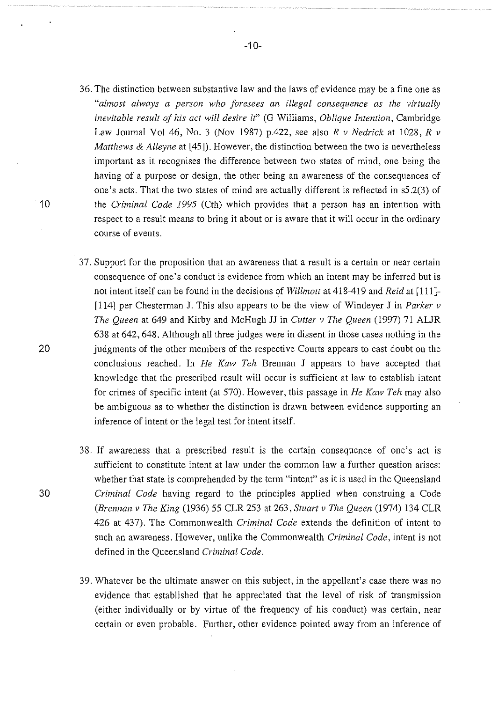- 36. The distinction between substantive law and the laws of evidence may be a fine one as *"almost always a person who foresees an illegal consequence as the virtually inevitable result of his act will desire it"* (G Williams, *Oblique Intention,* Cambridge Law Journal Vol 46, No. 3 (Nov 1987) p.422, see also *R v Nedrick* at 1028, *R v Matthews* & *Alleyne* at [45]). However, the distinction between the two is nevertheless important as it recognises the difference between two states of mind, one being the having of a purpose or design, the other being an awareness of the consequences of one's acts. That the two states of mind are actually different is reflected in s5.2(3) of the *Criminal Code 1995* (Cth) which provides that a person has an intention with respect to a result means to bring it about or is aware that it will occur in the ordinary course of events.
- 37. Support for the proposition that an awareness that a result is a certain or near certain consequence of one's conduct is evidence from which an intent may be inferred but is not intent itself can be found in the decisions of *Willmott* at 418-419 and *Reid* at [111]- [114] per Chesterman J. This also appears to be the view of Windeyer J in *Parker v The Queen* at 649 and Kirby and McHugh JJ in *Cutter v The Queen* (1997) 71 ALJR 638 at 642, 648. Although all three judges were in dissent in those cases nothing in the judgments of the other members of the respective Courts appears to cast doubt on the conclusions reached. In *He Kaw Teh* Brennan J appears to have accepted that knowledge that the prescribed result will occur is sufficient at law to establish intent for crimes of specific intent (at 570). However, this passage in *He Kaw Teh* may also be ambiguous as to whether the distinction is drawn between evidence supporting an inference of intent or the legal test for intent itself.
- 38. If awareness that a prescribed result is the certain consequence of one's act is sufficient to constitute intent at law under the common law a further question arises: whether that state is comprehended by the term "intent" as it is used in the Queensland *Criminal Code* having regard to the principles applied when construing a Code *(Brennan v The King* (1936) 55 CLR 253 at 263, *Stuart v The Queen* (1974) 134 CLR 426 at 437). The Commonwealth *Criminal Code* extends the definition of intent to such an awareness. However, unlike the Commonwealth *Criminal Code,* intent is not defined in the Queensland *Criminal Code.*
- 39. Whatever be the ultimate answer on this subject, in the appellant's case there was no evidence that established that he appreciated that the level of risk of transmission (either individually or by virtue of the frequency of his conduct) was certain, near certain or even probable. Further, other evidence pointed away from an inference of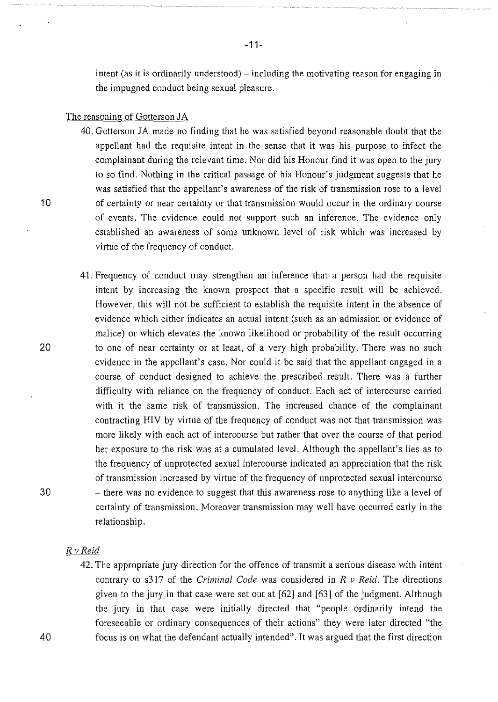intent (as it is ordinarily understood) – including the motivating reason for engaging in the impugned conduct being sexual pleasure.

### The reasoning of Gotterson JA

- 40. Gotterson JA made no finding that he was satisfied beyond reasonable doubt that the appellant had the requisite intent in the sense that it was his purpose to infect the complainant during the relevant time. Nor did his Honour find it was open to the jury to so find. Nothing in the critical passage of his Honour's judgment suggests that he was satisfied that the appellant's awareness of the risk of transmission rose to a level of certainty or near certainty or that transmission would. occur in the ordinary course of events. The evidence could not support such an inference. The evidence only established an awareness of some unknown level of risk which was increased by virtue of the frequency of conduct.
- 41. Frequency of conduct may strengthen an inference that a person had the requisite intent by increasing the known prospect that a specific result will be achieved. However, this will not be sufficient to establish the requisite intent in the absence of evidence which either indicates an actual intent (such as an admission or evidence of malice) or which elevates the known likelihood or probability of the result occurring to one of near certainty or at least, of a very high probability. There was no such evidence in the appellant's case. Nor could it be said that the appellant engaged in a course of conduct designed to achieve the prescribed result. There was a further difficulty with reliance on the frequency of conduct. Each act of intercourse carried with it the same risk of transmission. The increased chance of the complainant contracting HIV by virtue of the frequency of conduct was not that transmission was more likely with each act of intercourse but rather that over the course of that period her exposure to the risk was at a cumulated level. Although the appellant's lies as to the frequency of unprotected sexual intercourse indicated an appreciation that the risk of transmission increased by virtue of the frequency of unprotected sexual intercourse - there was no evidence to suggest that this awareness rose to anything like a level of certainty of transmission. Moreover transmission may well have occurred early in the relationship.

### *R v Reid*

42. The appropriate jury direction for the offence of transmit a serious disease with intent contrary to s317 of the *Criminal Code* was considered in *R v Reid.* The directions given to the jury in that case were set out at [62] and [63] of the judgment. Although the jury in that case were initially directed that "people ordinarily intend the foreseeable or ordinary consequences of their actions" they were later directed "the focus is on what the defendant actually intended". It was argued that the first direction

10

20

30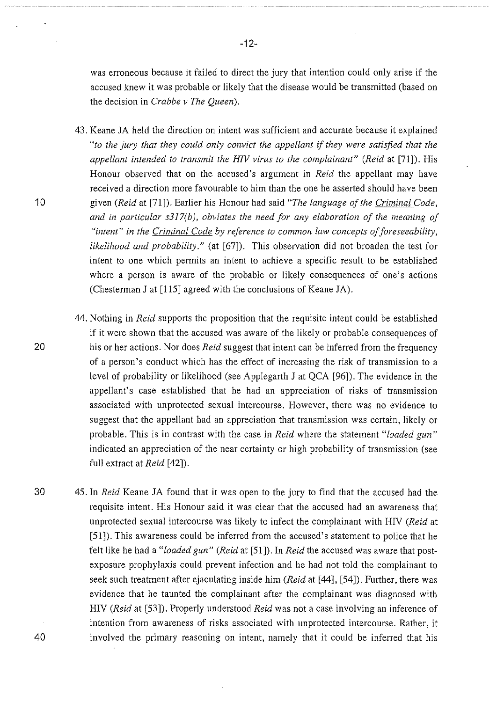was erroneous because it failed to direct the jury that intention could only arise if the accused knew it was probable or likely that the disease would be transmitted (based on the decision in *Crabbe v The Queen).* 

- 43. Keane JA held the direction on intent was sufficient and accurate because it explained *"to the jury that they could only convict the appellant* if *they were satisfied that the appellant intended to transmit the HIV virus to the complainant" (Reid* at [71]). His Honour observed that on the accused's argument in *Reid* the appellant may have received a direction more favourable to him than the one he asserted should have been given *(Reid* at [71]). Earlier his Honour had said *"The language of the Criminal Code,*  and in particular s317(b), obviates the need for any elaboration of the meaning of *"intent" in the Criminal Code by reference to common law concepts of foreseeability, likelihood and probability."* (at [67]). This observation did not broaden the test for intent to one which permits an intent to achieve a specific result to be established where a person is aware of the probable or likely consequences of one's actions (Chesterman J at [115] agreed with the conclusions of Keane JA).
- 44. Nothing in *Reid* supports the proposition that the requisite intent could be established if it were shown that the accused was aware of the likely or probable consequences of his or her actions. Nor does *Reid* suggest that intent can be inferred from the frequency of a person's conduct which has the effect of increasing the risk of transmission to a level of probability or likelihood (see Applegarth J at QCA [96]). The evidence in the appellant's case established that he had an appreciation of risks of transmission associated with unprotected sexual intercourse. However, there was no evidence to suggest that the appellant had an appreciation that transmission was certain, likely or probable. This is in contrast with the case in *Reid* where the statement *"loaded gun"*  indicated an appreciation of the near certainty or high probability of transmission (see full extract at *Reid* [42]).
- 30 45. In *Reid* Keane JA found that it was open to the jury to find that the accused had the requisite intent. His Honour said it was clear that the accused had an awareness that unprotected sexual intercourse was likely to infect the complainant with HIV *(Reid* at [51]). This awareness could be inferred from the accused's statement to police that he felt like he had a *"loaded gun" (Reid* at [51]). In *Reid* the accused was aware that postexposure prophylaxis could prevent infection and he had not told the complainant to seek such treatment after ejaculating inside him *(Reid* at [44], [54]). Further, there was evidence that he taunted the complainant after the complainant was diagnosed with HIV *(Reid* at [53]). Properly understood *Reid* was not a case involving an inference of intention from awareness of risks associated with unprotected intercourse. Rather, it involved the primary reasoning on intent, namely that it could be inferred that his

20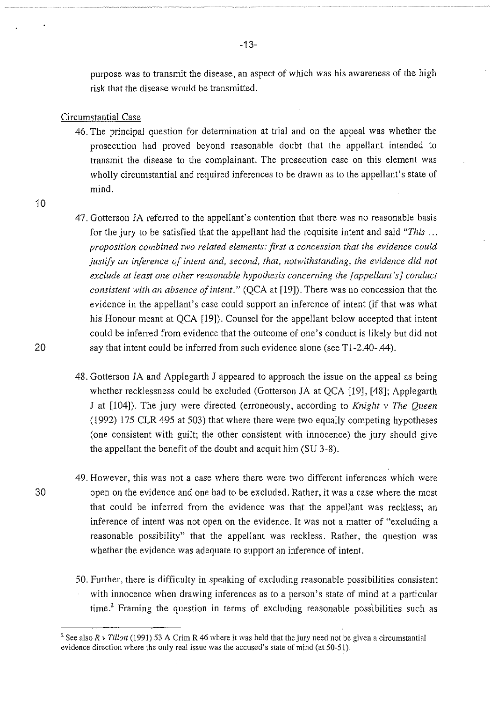purpose was to transmit the disease, an aspect of which was his awareness of the high risk that the disease would be transmitted.

#### Circumstantial Case

- 46. The principal question for determination at trial and on the appeal was whether the prosecution had proved beyond reasonable doubt that the appellant intended to transmit the disease to the complainant. The prosecution case on this element was wholly circumstantial and required inferences to be drawn as to the appellant's state of mind.
- 10
- 47. Gotterson JA referred to the appellant's contention that there was no reasonable basis for the jury to be satisfied that the appellant had the requisite intent and said *"This* ... *proposition combined two related elements: first a concession that the evidence could justify an inference of intent and, second, that, notwithstanding, the evidence did not exclude at least one other reasonable hypothesis concerning the [appellant's] conduct consistent with an absence of intent."* (QCA at [19]). There was no concession that the evidence in the appellant's case could support an inference of intent (if that was what his Honour meant at QCA [19]). Counsel for the appellant below accepted that intent could be inferred from evidence that the outcome of one's conduct is likely but did not say that intent could be inferred from such evidence alone (see T1-2.40-.44).
- 48. Gotterson JA and Applegarth J appeared to approach the issue on the appeal as being whether recklessness could be excluded (Gotterson JA at QCA [19], [48]; Applegarth J at [104]). The jury were directed (erroneously, according to *Knight v The Queen*  (1992) 175 CLR 495 at 503) that where there were two equally competing hypotheses (one consistent with guilt; the other consistent with innocence) the jury should give the appellant the benefit of the doubt and acquit him (SU 3-8).
- 49. However, this was not a case where there were two different inferences which were open on the evidence and one had to be excluded. Rather, it was a case where the most that could be inferred from the evidence was that the appellant was reckless; an inference of intent was not open on the evidence. It was not a matter of "excluding a reasonable possibility" that the appellant was reckless. Rather, the question was whether the evidence was adequate to support an inference of intent.
	- 50. Further, there is difficulty in speaking of excluding reasonable possibilities consistent with innocence when drawing inferences as to a person's state of mind at a particular time? Framing the question in terms of excluding reasonable possibilities such as

30

<sup>&#</sup>x27;See also *R v Tillott* (1991) 53 A Crim R 46 where it was held that the jury need not be given a circumstantial evidence direction where the only real issue was the accused's state of mind (at 50-51).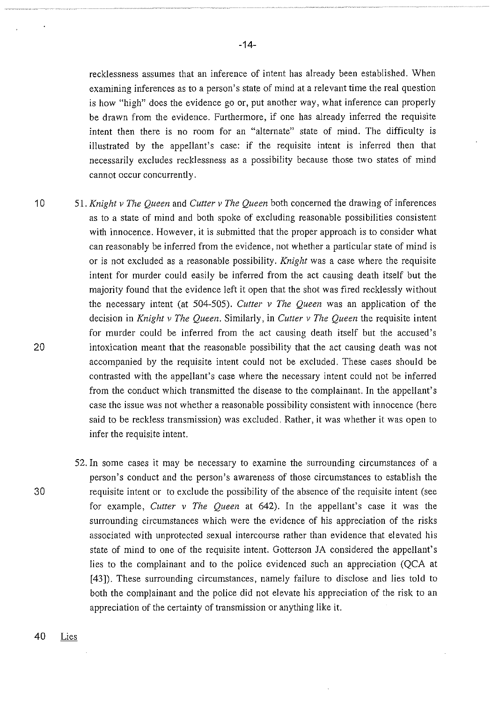recklessness assumes that an inference of intent has already been established. When examining inferences as to a person's state of mind at a relevant time the real question is how "high" does the evidence go or, put another way, what inference can properly be drawn from the evidence. Furthermore, if one has already inferred the requisite intent then there is no room for an "alternate" state of mind. The difficulty is illustrated by the appellant's case: if the requisite intent is inferred then that necessarily excludes recklessness as a possibility because those two states of mind cannot occur concurrently.

- 10 51. *Knight v The Queen* and *Cutter v The Queen* both concerned the drawing of inferences as to a state of mind and both spoke of excluding reasonable possibilities consistent with innocence. However, it is submitted that the proper approach is to consider what can reasonably be inferred from the evidence, not whether a particular state of mind is or is not excluded as a reasonable possibility. *Knight* was a case where the requisite intent for murder could easily be inferred from the act causing death itself but the majority found that the evidence left it open that the shot was fired recklessly without the necessary intent (at 504-505). *Cutter v The Queen* was an application of the decision in *Knight v The Queen.* Similarly, in *Cutter v The Queen* the requisite intent for murder could be inferred from the act causing death itself but the accused's intoxication meant that the reasonable possibility that the act causing death was not accompanied by the requisite intent could not be excluded. These cases should be contrasted with the appellant's case where the necessary intent could not be inferred from the conduct which transmitted the disease to the complainant. In the appellant's case the issue was not whether a reasonable possibility consistent with innocence (here said to be reckless transmission) was excluded. Rather, it was whether it was open to infer the requisite intent.
	- 52. In some cases it may be necessary to examine the surrounding circumstances of a person's conduct and the person's awareness of those circumstances to establish the requisite intent or to exclude the possibility of the absence of the requisite intent (see for example, *Cutter v The Queen* at 642). In the appellant's case it was the surrounding circumstances which were the evidence of his appreciation of the risks associated with unprotected sexual intercourse rather than evidence that elevated his state of mind to one of the requisite intent. Gotterson JA considered the appellant's lies to the complainant and to the police evidenced such an appreciation (QCA at [43]). These surrounding circumstances, namely failure to disclose and lies told to both the complainant and the police did not elevate his appreciation of the risk to an appreciation of the certainty of transmission or anything like it.

20

30

40 Lies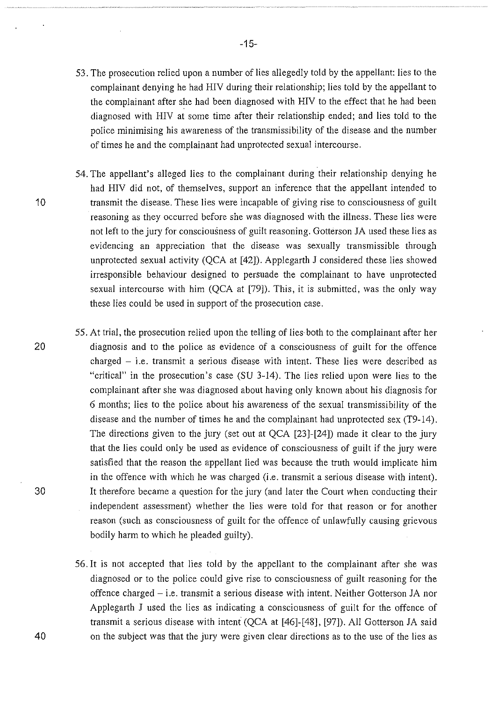- 53. The prosecution relied upon a number of lies allegedly told by the appellant: lies to the complainant denying he had HIV during their relationship; lies told by the appellant to the complainant after she had been diagnosed with HIV to the effect that he had been diagnosed with HIV at some time after their relationship ended; and lies told to the police minimising his awareness of the transmissibility of the disease and the number of times he and the complainant had unprotected sexual intercourse.
- 54. The appellant's alleged lies to the complainant during their relationship denying he had HIV did not, of themselves, support an inference that the appellant intended to transmit the disease. These lies were incapable of giving rise to consciousness of guilt reasoning as they occurred before she was diagnosed with the illness. These lies were not left to the jury for consciousness of guilt reasoning. Gotterson JA used these lies as evidencing an appreciation that the disease was sexually transmissible through unprotected sexual activity (QCA at [42]). Applegarth J considered these lies showed irresponsible behaviour designed to persuade the complainant to have unprotected sexual intercourse with him (QCA at [79]). This, it is submitted, was the only way these lies could be used in support of the prosecution case.
- 55. At trial, the prosecution relied upon the telling of lies both to the complainant after her diagnosis and to the police as evidence of a consciousness of guilt for the offence charged - i.e. transmit a serious disease with intent. These lies were described as "critical" in the prosecution's case (SU 3-14). The lies relied upon were lies to the complainant after she was diagnosed about having only known about his diagnosis for 6 months; lies to the police about his awareness of the sexual transmissibility of the disease and the number of times he and the complainant had unprotected sex (T9-14). The directions given to the jury (set out at QCA [23]-[24]) made it clear to the jury that the lies could only be used as evidence of consciousness of guilt if the jury were satisfied that the reason the appellant lied was because the truth would implicate him in the offence with which he was charged (i.e. transmit a serious disease with intent). It therefore became a question for the jury (and later the Court when conducting their independent assessment) whether the lies were told for that reason or for another reason (such as consciousness of guilt for the offence of unlawfully causing grievous bodily harm to which he pleaded guilty).
	- 56. It is not accepted that lies told by the appellant to the complainant after she was diagnosed or to the police could give rise to consciousness of guilt reasoning for the offence charged- i.e. transmit a serious disease with intent. Neither Gotterson JA nor Applegarth J used the lies as indicating a consciousness of guilt for the offence of transmit a serious disease with intent (QCA at [46]-[48], [97]). All Gotterson JA said on the subject was that the jury were given clear directions as to the use of the lies as

10

30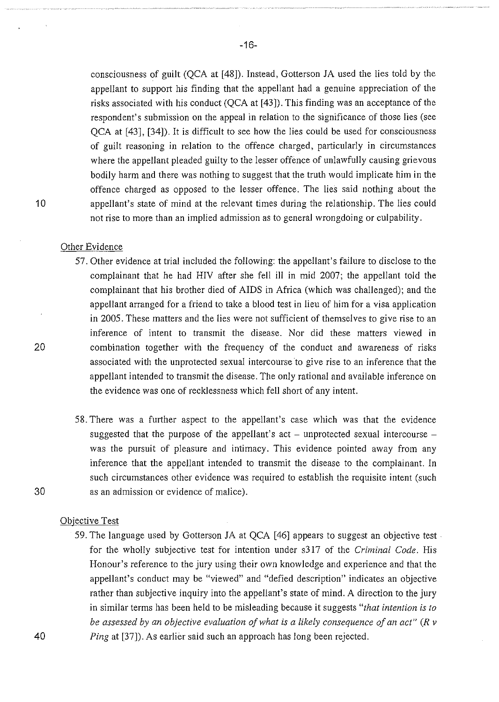consciousness of guilt (QCA at [48]). Instead, Gotterson JA used the lies told by the appellant to support his finding that the appellant had a genuine appreciation of the risks associated with his conduct (QCA at [43]). This finding was an acceptance of the respondent's submission on the appeal in relation to the significance of those lies (see QCA at [43], [34]). It is difficult to see how the lies could be used for consciousness of guilt reasoning in relation to the offence charged, particularly in circumstances where the appellant pleaded guilty to the lesser offence of unlawfully causing grievous bodily harm and there was nothing to suggest that the truth would implicate him in the offence charged as opposed to the lesser offence. The lies said nothing about the appellant's state of mind at the relevant times during the relationship. The lies could not rise to more than an implied admission as to general wrongdoing or culpability.

## Other Evidence

- 57. Other evidence at trial included the following: the appellant's failure to disclose to the complainant that he had HIV after she fell ill in mid 2007; the appellant told the complainant that his brother died of AIDS in Africa (which was challenged); and the appellant arranged for a friend to take a blood test in lieu of him for a visa application in 2005. These matters and the lies were not sufficient of themselves to give rise to an inference of intent to transmit the disease. Nor did these matters viewed in combination together with the frequency of the conduct and awareness of risks associated with the unprotected sexual intercourse to give rise to an inference that the appellant intended to transmit the disease. The only rational and available inference on the evidence was one of recklessness which fell short of any intent.
- 58. There was a further aspect to the appellant's case which was that the evidence suggested that the purpose of the appellant's  $act$  - unprotected sexual intercourse was the pursuit of pleasure and intimacy. This evidence pointed away from any inference that the appellant intended to transmit the disease to the complainant. In such circumstances other evidence was required to establish the requisite intent (such as an admission or evidence of malice).

#### Objective Test

59. The language used by Gotterson JA at QCA [46] appears to suggest an objective test. for the wholly subjective test for intention under s317 of the *Criminal Code.* His Honour's reference to the jury using their own knowledge and experience and that the appellant's conduct may be "viewed" and "defied description" indicates an objective rather than subjective inquiry into the appellant's state of mind. A direction to the jury in similar terms has been held to be misleading because it suggests *"that intention is to be assessed by an objective evaluation of what is a likely consequence of an act" (R v Ping at* [37]). As earlier said such an approach has long been rejected.

20

10

30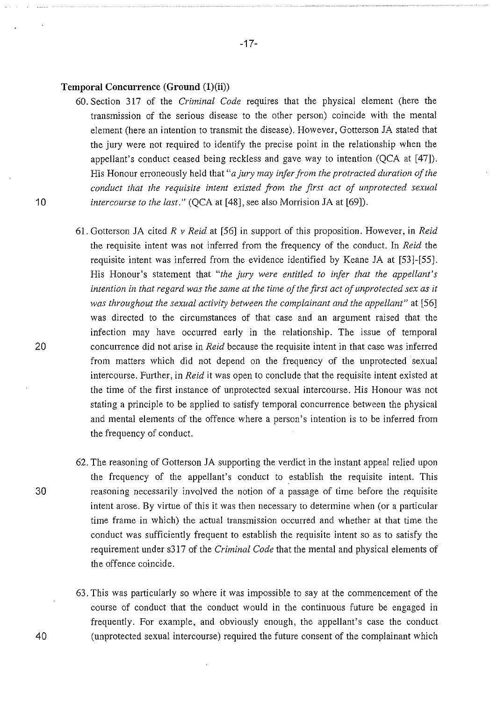#### Temporal Concurrence (Ground (1)(ii))

- 60. Section 317 of the *Criminal Code* reqmres that the physical element (here the transmission of the serious disease to the other person) coincide with the mental element (here an intention to transmit the disease). However, Gotterson JA stated that the jury were not required to identify the precise point in the relationship when the appellant's conduct ceased being reckless and gave way to intention (QCA at [47]). His Honour erroneously held that *"a jury may infer from the protracted duration of the conduct that the requisite intent existed from the first act of unprotected sexual intercourse to the last."* (QCA at [48], see also Morrision JA at [69]).
- 61. Gotterson JA cited *R v Reid* at [56] in support of this proposition. However, in *Reid*  the requisite intent was not inferred from the frequency of the conduct. In *Reid* the requisite intent was inferred from the evidence identified by Keane JA at [53]-[55]. His Honour's statement that *"the jury were entitled to infer that the appellant's intention in that regard was the same at the time of the first act of unprotected sex as it was throughout the sexual activity between the complainant and the appellant"* at [56] was directed to the circumstances of that case and an argument raised that the infection may have occurred early in the relationship. The issue of temporal concurrence did not arise in *Reid* because the requisite intent in that case was inferred from matters which did not depend on the frequency of the unprotected sexual intercourse. Further, in *Reid* it was open to conclude that the requisite intent existed at the time of the first instance of unprotected sexual intercourse. His Honour was not stating a principle to be applied to satisfy temporal concurrence between the physical and mental elements of the offence where a person's intention is to be inferred from the frequency of conduct.
- 62. The reasoning of Gotterson JA supporting the verdict in the instant appeal relied upon the frequency of the appellant's conduct to establish the requisite intent. This reasoning necessarily involved the notion of a passage of time before the requisite intent arose. By virtue of this it was then necessary to determine when (or a particular time frame in which) the actual transmission occurred and whether at that time the conduct was sufficiently frequent to establish the requisite intent so as to satisfy the requirement under s317 of the *Criminal Code* that the mental and physical elements of the offence coincide.
- 63. This was particularly so where it was impossible to say at the commencement of the course of conduct that the conduct would in the continuous future be engaged in frequently. For example, and obviously enough, the appellant's case the conduct (unprotected sexual intercourse) required the future consent of the complainant which

10

30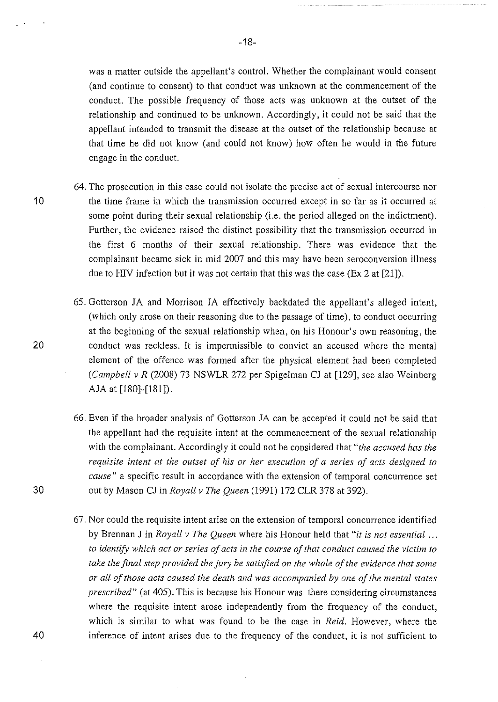was a matter outside the appellant's control. Whether the complainant would consent (and continue to consent) to that conduct was unknown at the commencement of the conduct. The possible frequency of those acts was unknown at the outset of the relationship and continued to be unknown. Accordingly, it could not be said that the appellant intended to transmit the disease at the outset of the relationship because at that time he did not know (and could not know) how often he would in the future engage in the conduct.

- 64. The prosecution in this case could not isolate the precise act of sexual intercourse nor the time frame in which the transmission occurred except in so far as it occurred at some point during their sexual relationship (i.e. the period alleged on the indictment). Further, the evidence raised the distinct possibility that the transmission occurred in the first 6 months of their sexual relationship. There was evidence that the complainant became sick in mid 2007 and this may have been seroconversion illness due to HIV infection but it was not certain that this was the case (Ex 2 at [21]).
	- 65. Gotterson JA and Morrison JA effectively backdated the appellant's alleged intent, (which only arose on their reasoning due to the passage of time), to conduct occurring at the beginning of the sexual relationship when, on his Honour's own reasoning, the conduct was reckless. It is impermissible to convict an accused where the mental element of the offence was formed after the physical element had been completed *(Campbell v R* (2008) 73 NSWLR 272 per Spigelman CJ at [129], see also Weinberg *AlA* at [180]-[181]).
	- 66. Even if the broader analysis of Gotterson JA can be accepted it could not be said that the appellant had the requisite intent at the commencement of the sexual relationship with the complainant. Accordingly it could not be considered that *"the accused has the requisite intent at the outset of his or her execution of a series of acts designed to cause"* a specific result in accordance with the extension of temporal concurrence set out by Mason CJ in *Royall v The Queen* (1991) 172 CLR 378 at 392).
	- 67. Nor could the requisite intent arise on the extension of temporal concurrence identified by Brennan J in *Royall v The Queen* where his Honour held that *"it is not essential* ... *to identify which act or series of acts in the course of that conduct caused the victim to take the final step provided the jury be satisfied on the whole of the evidence that some or all of those acts caused the death and was accompanied by one of the mental states prescribed"* (at 405). This is because his Honour was there considering circumstances where the requisite intent arose independently from the frequency of the conduct, which is similar to what was found to be the case in *Reid.* However, where the inference of intent arises due to the frequency of the conduct, it is not sufficient to

10

30